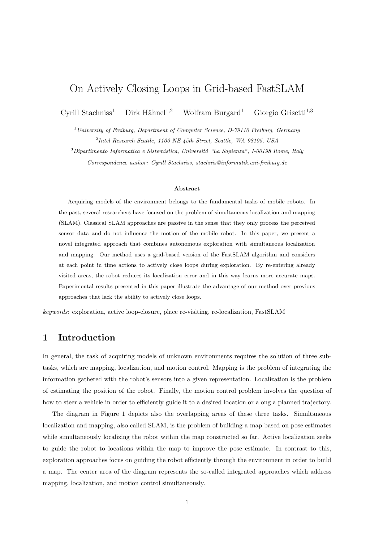# On Actively Closing Loops in Grid-based FastSLAM

Cyrill Stachniss<sup>1</sup> Dirk Hähnel<sup>1,2</sup> Wolfram Burgard<sup>1</sup> Giorgio Grisetti<sup>1,3</sup>

<sup>1</sup> University of Freiburg, Department of Computer Science, D-79110 Freiburg, Germany 2 Intel Research Seattle, 1100 NE 45th Street, Seattle, WA 98105, USA

 $3$ Dipartimento Informatica e Sistemistica, Universitá "La Sapienza", I-00198 Rome, Italy Correspondence author: Cyrill Stachniss, stachnis@informatik.uni-freiburg.de

#### Abstract

Acquiring models of the environment belongs to the fundamental tasks of mobile robots. In the past, several researchers have focused on the problem of simultaneous localization and mapping (SLAM). Classical SLAM approaches are passive in the sense that they only process the perceived sensor data and do not influence the motion of the mobile robot. In this paper, we present a novel integrated approach that combines autonomous exploration with simultaneous localization and mapping. Our method uses a grid-based version of the FastSLAM algorithm and considers at each point in time actions to actively close loops during exploration. By re-entering already visited areas, the robot reduces its localization error and in this way learns more accurate maps. Experimental results presented in this paper illustrate the advantage of our method over previous approaches that lack the ability to actively close loops.

keywords: exploration, active loop-closure, place re-visiting, re-localization, FastSLAM

### 1 Introduction

In general, the task of acquiring models of unknown environments requires the solution of three subtasks, which are mapping, localization, and motion control. Mapping is the problem of integrating the information gathered with the robot's sensors into a given representation. Localization is the problem of estimating the position of the robot. Finally, the motion control problem involves the question of how to steer a vehicle in order to efficiently guide it to a desired location or along a planned trajectory.

The diagram in Figure 1 depicts also the overlapping areas of these three tasks. Simultaneous localization and mapping, also called SLAM, is the problem of building a map based on pose estimates while simultaneously localizing the robot within the map constructed so far. Active localization seeks to guide the robot to locations within the map to improve the pose estimate. In contrast to this, exploration approaches focus on guiding the robot efficiently through the environment in order to build a map. The center area of the diagram represents the so-called integrated approaches which address mapping, localization, and motion control simultaneously.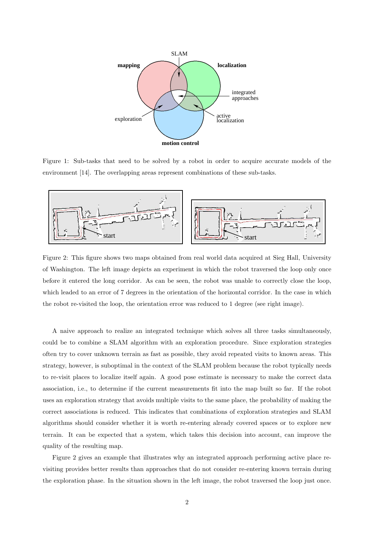

Figure 1: Sub-tasks that need to be solved by a robot in order to acquire accurate models of the environment [14]. The overlapping areas represent combinations of these sub-tasks.



Figure 2: This figure shows two maps obtained from real world data acquired at Sieg Hall, University of Washington. The left image depicts an experiment in which the robot traversed the loop only once before it entered the long corridor. As can be seen, the robot was unable to correctly close the loop, which leaded to an error of 7 degrees in the orientation of the horizontal corridor. In the case in which the robot re-visited the loop, the orientation error was reduced to 1 degree (see right image).

A naive approach to realize an integrated technique which solves all three tasks simultaneously, could be to combine a SLAM algorithm with an exploration procedure. Since exploration strategies often try to cover unknown terrain as fast as possible, they avoid repeated visits to known areas. This strategy, however, is suboptimal in the context of the SLAM problem because the robot typically needs to re-visit places to localize itself again. A good pose estimate is necessary to make the correct data association, i.e., to determine if the current measurements fit into the map built so far. If the robot uses an exploration strategy that avoids multiple visits to the same place, the probability of making the correct associations is reduced. This indicates that combinations of exploration strategies and SLAM algorithms should consider whether it is worth re-entering already covered spaces or to explore new terrain. It can be expected that a system, which takes this decision into account, can improve the quality of the resulting map.

Figure 2 gives an example that illustrates why an integrated approach performing active place revisiting provides better results than approaches that do not consider re-entering known terrain during the exploration phase. In the situation shown in the left image, the robot traversed the loop just once.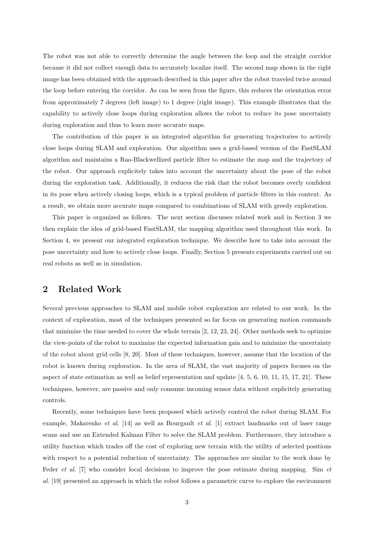The robot was not able to correctly determine the angle between the loop and the straight corridor because it did not collect enough data to accurately localize itself. The second map shown in the right image has been obtained with the approach described in this paper after the robot traveled twice around the loop before entering the corridor. As can be seen from the figure, this reduces the orientation error from approximately 7 degrees (left image) to 1 degree (right image). This example illustrates that the capability to actively close loops during exploration allows the robot to reduce its pose uncertainty during exploration and thus to learn more accurate maps.

The contribution of this paper is an integrated algorithm for generating trajectories to actively close loops during SLAM and exploration. Our algorithm uses a grid-based version of the FastSLAM algorithm and maintains a Rao-Blackwellized particle filter to estimate the map and the trajectory of the robot. Our approach explicitely takes into account the uncertainty about the pose of the robot during the exploration task. Additionally, it reduces the risk that the robot becomes overly confident in its pose when actively closing loops, which is a typical problem of particle filters in this context. As a result, we obtain more accurate maps compared to combinations of SLAM with greedy exploration.

This paper is organized as follows. The next section discusses related work and in Section 3 we then explain the idea of grid-based FastSLAM, the mapping algorithm used throughout this work. In Section 4, we present our integrated exploration technique. We describe how to take into account the pose uncertainty and how to actively close loops. Finally, Section 5 presents experiments carried out on real robots as well as in simulation.

### 2 Related Work

Several previous approaches to SLAM and mobile robot exploration are related to our work. In the context of exploration, most of the techniques presented so far focus on generating motion commands that minimize the time needed to cover the whole terrain [2, 12, 23, 24]. Other methods seek to optimize the view-points of the robot to maximize the expected information gain and to minimize the uncertainty of the robot about grid cells [8, 20]. Most of these techniques, however, assume that the location of the robot is known during exploration. In the area of SLAM, the vast majority of papers focuses on the aspect of state estimation as well as belief representation and update [4, 5, 6, 10, 11, 15, 17, 21]. These techniques, however, are passive and only consume incoming sensor data without explicitely generating controls.

Recently, some techniques have been proposed which actively control the robot during SLAM. For example, Makarenko et al. [14] as well as Bourgault et al. [1] extract landmarks out of laser range scans and use an Extended Kalman Filter to solve the SLAM problem. Furthermore, they introduce a utility function which trades off the cost of exploring new terrain with the utility of selected positions with respect to a potential reduction of uncertainty. The approaches are similar to the work done by Feder *et al.* [7] who consider local decisions to improve the pose estimate during mapping. Sim *et* al. [19] presented an approach in which the robot follows a parametric curve to explore the environment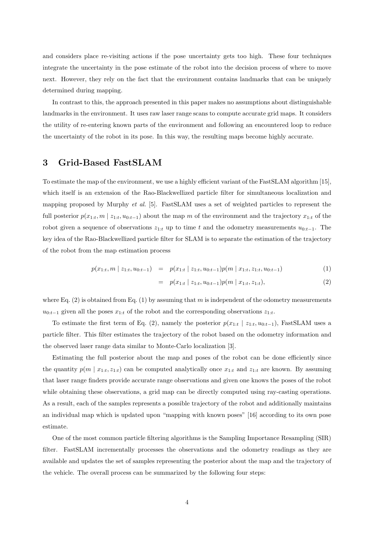and considers place re-visiting actions if the pose uncertainty gets too high. These four techniques integrate the uncertainty in the pose estimate of the robot into the decision process of where to move next. However, they rely on the fact that the environment contains landmarks that can be uniquely determined during mapping.

In contrast to this, the approach presented in this paper makes no assumptions about distinguishable landmarks in the environment. It uses raw laser range scans to compute accurate grid maps. It considers the utility of re-entering known parts of the environment and following an encountered loop to reduce the uncertainty of the robot in its pose. In this way, the resulting maps become highly accurate.

## 3 Grid-Based FastSLAM

To estimate the map of the environment, we use a highly efficient variant of the FastSLAM algorithm [15], which itself is an extension of the Rao-Blackwellized particle filter for simultaneous localization and mapping proposed by Murphy et al. [5]. FastSLAM uses a set of weighted particles to represent the full posterior  $p(x_{1:t}, m \mid z_{1:t}, u_{0:t-1})$  about the map m of the environment and the trajectory  $x_{1:t}$  of the robot given a sequence of observations  $z_{1:t}$  up to time t and the odometry measurements  $u_{0:t-1}$ . The key idea of the Rao-Blackwellized particle filter for SLAM is to separate the estimation of the trajectory of the robot from the map estimation process

$$
p(x_{1:t}, m \mid z_{1:t}, u_{0:t-1}) = p(x_{1:t} \mid z_{1:t}, u_{0:t-1}) p(m \mid x_{1:t}, z_{1:t}, u_{0:t-1}) \tag{1}
$$

$$
= p(x_{1:t} | z_{1:t}, u_{0:t-1}) p(m | x_{1:t}, z_{1:t}), \qquad (2)
$$

where Eq.  $(2)$  is obtained from Eq.  $(1)$  by assuming that m is independent of the odometry measurements  $u_{0:t-1}$  given all the poses  $x_{1:t}$  of the robot and the corresponding observations  $z_{1:t}$ .

To estimate the first term of Eq. (2), namely the posterior  $p(x_{1:t} | z_{1:t}, u_{0:t-1})$ , FastSLAM uses a particle filter. This filter estimates the trajectory of the robot based on the odometry information and the observed laser range data similar to Monte-Carlo localization [3].

Estimating the full posterior about the map and poses of the robot can be done efficiently since the quantity  $p(m \mid x_{1:t}, z_{1:t})$  can be computed analytically once  $x_{1:t}$  and  $z_{1:t}$  are known. By assuming that laser range finders provide accurate range observations and given one knows the poses of the robot while obtaining these observations, a grid map can be directly computed using ray-casting operations. As a result, each of the samples represents a possible trajectory of the robot and additionally maintains an individual map which is updated upon "mapping with known poses" [16] according to its own pose estimate.

One of the most common particle filtering algorithms is the Sampling Importance Resampling (SIR) filter. FastSLAM incrementally processes the observations and the odometry readings as they are available and updates the set of samples representing the posterior about the map and the trajectory of the vehicle. The overall process can be summarized by the following four steps: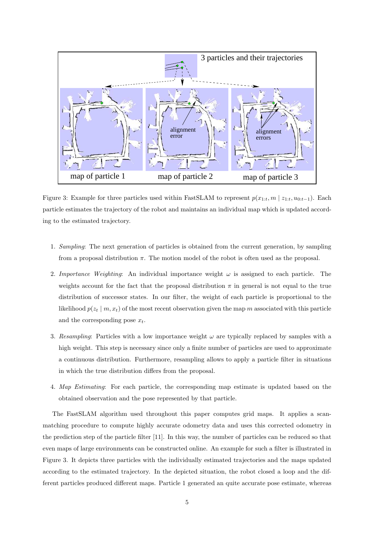

Figure 3: Example for three particles used within FastSLAM to represent  $p(x_{1:t}, m \mid z_{1:t}, u_{0:t-1})$ . Each particle estimates the trajectory of the robot and maintains an individual map which is updated according to the estimated trajectory.

- 1. Sampling: The next generation of particles is obtained from the current generation, by sampling from a proposal distribution  $\pi$ . The motion model of the robot is often used as the proposal.
- 2. Importance Weighting: An individual importance weight  $\omega$  is assigned to each particle. The weights account for the fact that the proposal distribution  $\pi$  in general is not equal to the true distribution of successor states. In our filter, the weight of each particle is proportional to the likelihood  $p(z_t | m, x_t)$  of the most recent observation given the map m associated with this particle and the corresponding pose  $x_t$ .
- 3. Resampling: Particles with a low importance weight  $\omega$  are typically replaced by samples with a high weight. This step is necessary since only a finite number of particles are used to approximate a continuous distribution. Furthermore, resampling allows to apply a particle filter in situations in which the true distribution differs from the proposal.
- 4. Map Estimating: For each particle, the corresponding map estimate is updated based on the obtained observation and the pose represented by that particle.

The FastSLAM algorithm used throughout this paper computes grid maps. It applies a scanmatching procedure to compute highly accurate odometry data and uses this corrected odometry in the prediction step of the particle filter [11]. In this way, the number of particles can be reduced so that even maps of large environments can be constructed online. An example for such a filter is illustrated in Figure 3. It depicts three particles with the individually estimated trajectories and the maps updated according to the estimated trajectory. In the depicted situation, the robot closed a loop and the different particles produced different maps. Particle 1 generated an quite accurate pose estimate, whereas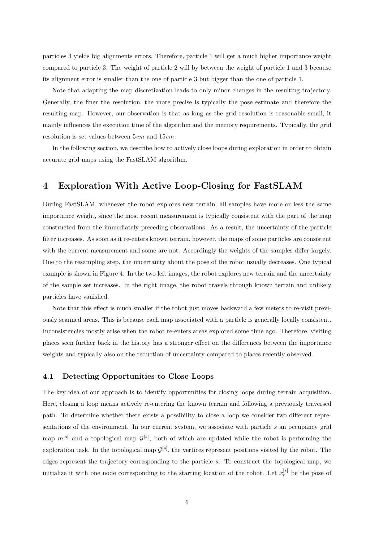particles 3 yields big alignments errors. Therefore, particle 1 will get a much higher importance weight compared to particle 3. The weight of particle 2 will by between the weight of particle 1 and 3 because its alignment error is smaller than the one of particle 3 but bigger than the one of particle 1.

Note that adapting the map discretization leads to only minor changes in the resulting trajectory. Generally, the finer the resolution, the more precise is typically the pose estimate and therefore the resulting map. However, our observation is that as long as the grid resolution is reasonable small, it mainly influences the execution time of the algorithm and the memory requirements. Typically, the grid resolution is set values between 5cm and 15cm.

In the following section, we describe how to actively close loops during exploration in order to obtain accurate grid maps using the FastSLAM algorithm.

# 4 Exploration With Active Loop-Closing for FastSLAM

During FastSLAM, whenever the robot explores new terrain, all samples have more or less the same importance weight, since the most recent measurement is typically consistent with the part of the map constructed from the immediately preceding observations. As a result, the uncertainty of the particle filter increases. As soon as it re-enters known terrain, however, the maps of some particles are consistent with the current measurement and some are not. Accordingly the weights of the samples differ largely. Due to the resampling step, the uncertainty about the pose of the robot usually decreases. One typical example is shown in Figure 4. In the two left images, the robot explores new terrain and the uncertainty of the sample set increases. In the right image, the robot travels through known terrain and unlikely particles have vanished.

Note that this effect is much smaller if the robot just moves backward a few meters to re-visit previously scanned areas. This is because each map associated with a particle is generally locally consistent. Inconsistencies mostly arise when the robot re-enters areas explored some time ago. Therefore, visiting places seen further back in the history has a stronger effect on the differences between the importance weights and typically also on the reduction of uncertainty compared to places recently observed.

#### 4.1 Detecting Opportunities to Close Loops

The key idea of our approach is to identify opportunities for closing loops during terrain acquisition. Here, closing a loop means actively re-entering the known terrain and following a previously traversed path. To determine whether there exists a possibility to close a loop we consider two different representations of the environment. In our current system, we associate with particle s an occupancy grid map  $m^{[s]}$  and a topological map  $\mathcal{G}^{[s]}$ , both of which are updated while the robot is performing the exploration task. In the topological map  $\mathcal{G}^{[s]}$ , the vertices represent positions visited by the robot. The edges represent the trajectory corresponding to the particle s. To construct the topological map, we initialize it with one node corresponding to the starting location of the robot. Let  $x_t^{[s]}$  be the pose of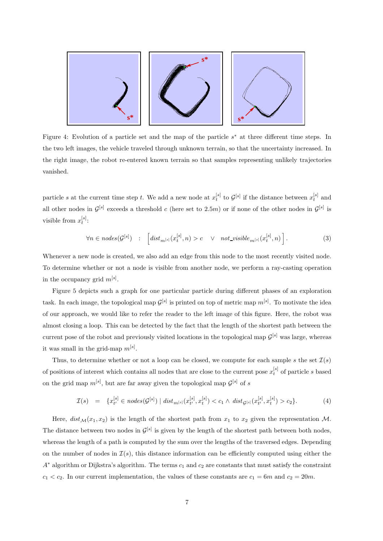

Figure 4: Evolution of a particle set and the map of the particle  $s^*$  at three different time steps. In the two left images, the vehicle traveled through unknown terrain, so that the uncertainty increased. In the right image, the robot re-entered known terrain so that samples representing unlikely trajectories vanished.

particle s at the current time step t. We add a new node at  $x_t^{[s]}$  to  $\mathcal{G}^{[s]}$  if the distance between  $x_t^{[s]}$  and all other nodes in  $\mathcal{G}^{[s]}$  exceeds a threshold c (here set to 2.5m) or if none of the other nodes in  $\mathcal{G}^{[s]}$  is visible from  $x_t^{[s]}$ :

$$
\forall n \in nodes(\mathcal{G}^{[s]}) \quad : \quad \left[dist_{m^{[s]}}(x_t^{[s]}, n) > c \quad \vee \quad not\_visible_{m^{[s]}}(x_t^{[s]}, n)\right]. \tag{3}
$$

Whenever a new node is created, we also add an edge from this node to the most recently visited node. To determine whether or not a node is visible from another node, we perform a ray-casting operation in the occupancy grid  $m^{[s]}$ .

Figure 5 depicts such a graph for one particular particle during different phases of an exploration task. In each image, the topological map  $\mathcal{G}^{[s]}$  is printed on top of metric map  $m^{[s]}$ . To motivate the idea of our approach, we would like to refer the reader to the left image of this figure. Here, the robot was almost closing a loop. This can be detected by the fact that the length of the shortest path between the current pose of the robot and previously visited locations in the topological map  $\mathcal{G}^{[s]}$  was large, whereas it was small in the grid-map  $m^{[s]}$ .

Thus, to determine whether or not a loop can be closed, we compute for each sample s the set  $\mathcal{I}(s)$ of positions of interest which contains all nodes that are close to the current pose  $x_t^{[s]}$  of particle s based on the grid map  $m^{[s]}$ , but are far away given the topological map  $\mathcal{G}^{[s]}$  of s

$$
\mathcal{I}(s) = \{x_{t'}^{[s]} \in nodes(\mathcal{G}^{[s]}) \mid dist_{m^{[s]}}(x_{t'}^{[s]}, x_t^{[s]}) < c_1 \land dist_{\mathcal{G}^{[s]}}(x_{t'}^{[s]}, x_t^{[s]}) > c_2\}.
$$
\n
$$
(4)
$$

Here,  $dist_{\mathcal{M}}(x_1, x_2)$  is the length of the shortest path from  $x_1$  to  $x_2$  given the representation M. The distance between two nodes in  $\mathcal{G}^{[s]}$  is given by the length of the shortest path between both nodes, whereas the length of a path is computed by the sum over the lengths of the traversed edges. Depending on the number of nodes in  $\mathcal{I}(s)$ , this distance information can be efficiently computed using either the  $A^*$  algorithm or Dijkstra's algorithm. The terms  $c_1$  and  $c_2$  are constants that must satisfy the constraint  $c_1 < c_2$ . In our current implementation, the values of these constants are  $c_1 = 6m$  and  $c_2 = 20m$ .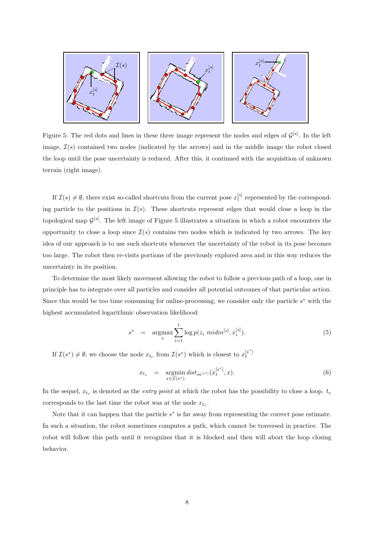

Figure 5: The red dots and lines in these three image represent the nodes and edges of  $\mathcal{G}^{[s]}$ . In the left image,  $\mathcal{I}(s)$  contained two nodes (indicated by the arrows) and in the middle image the robot closed the loop until the pose uncertainty is reduced. After this, it continued with the acquisition of unknown terrain (right image).

If  $\mathcal{I}(s) \neq \emptyset$ , there exist so-called shortcuts from the current pose  $x_t^{[s]}$  represented by the corresponding particle to the positions in  $\mathcal{I}(s)$ . These shortcuts represent edges that would close a loop in the topological map  $\mathcal{G}^{[s]}$ . The left image of Figure 5 illustrates a situation in which a robot encounters the opportunity to close a loop since  $\mathcal{I}(s)$  contains two nodes which is indicated by two arrows. The key idea of our approach is to use such shortcuts whenever the uncertainty of the robot in its pose becomes too large. The robot then re-visits portions of the previously explored area and in this way reduces the uncertainty in its position.

To determine the most likely movement allowing the robot to follow a previous path of a loop, one in principle has to integrate over all particles and consider all potential outcomes of that particular action. Since this would be too time consuming for online-processing, we consider only the particle  $s^*$  with the highest accumulated logarithmic observation likelihood:

$$
s^* = \underset{s}{\text{argmax}} \sum_{i=1}^t \log p(z_i \text{ midm}^{[s]}, x_i^{[s]}). \tag{5}
$$

If  $\mathcal{I}(s^*) \neq \emptyset$ , we choose the node  $x_{t_e}$  from  $\mathcal{I}(s^*)$  which is closest to  $x_t^{[s^*]}$ 

$$
x_{t_e} = \underset{x \in \mathcal{I}(s^*)}{\text{argmin}} \, dist_{m^{[s^*]}}(x_t^{[s^*]}, x). \tag{6}
$$

In the sequel,  $x_{t_e}$  is denoted as the *entry point* at which the robot has the possibility to close a loop.  $t_e$ corresponds to the last time the robot was at the node  $x_{t_e}$ .

Note that it can happen that the particle  $s^*$  is far away from representing the correct pose estimate. In such a situation, the robot sometimes computes a path, which cannot be traversed in practice. The robot will follow this path until it recognizes that it is blocked and then will abort the loop closing behavior.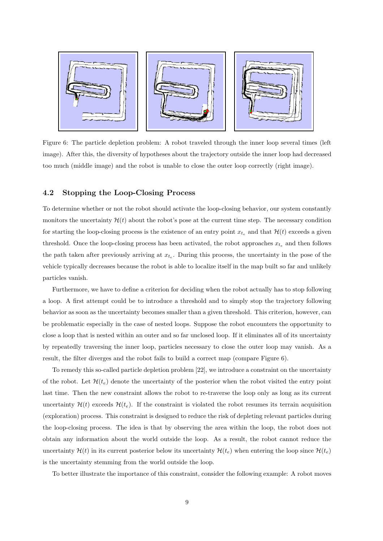

Figure 6: The particle depletion problem: A robot traveled through the inner loop several times (left image). After this, the diversity of hypotheses about the trajectory outside the inner loop had decreased too much (middle image) and the robot is unable to close the outer loop correctly (right image).

#### 4.2 Stopping the Loop-Closing Process

To determine whether or not the robot should activate the loop-closing behavior, our system constantly monitors the uncertainty  $\mathcal{H}(t)$  about the robot's pose at the current time step. The necessary condition for starting the loop-closing process is the existence of an entry point  $x_{t_e}$  and that  $\mathcal{H}(t)$  exceeds a given threshold. Once the loop-closing process has been activated, the robot approaches  $x_{t_e}$  and then follows the path taken after previously arriving at  $x_{t_e}$ . During this process, the uncertainty in the pose of the vehicle typically decreases because the robot is able to localize itself in the map built so far and unlikely particles vanish.

Furthermore, we have to define a criterion for deciding when the robot actually has to stop following a loop. A first attempt could be to introduce a threshold and to simply stop the trajectory following behavior as soon as the uncertainty becomes smaller than a given threshold. This criterion, however, can be problematic especially in the case of nested loops. Suppose the robot encounters the opportunity to close a loop that is nested within an outer and so far unclosed loop. If it eliminates all of its uncertainty by repeatedly traversing the inner loop, particles necessary to close the outer loop may vanish. As a result, the filter diverges and the robot fails to build a correct map (compare Figure 6).

To remedy this so-called particle depletion problem [22], we introduce a constraint on the uncertainty of the robot. Let  $\mathcal{H}(t_e)$  denote the uncertainty of the posterior when the robot visited the entry point last time. Then the new constraint allows the robot to re-traverse the loop only as long as its current uncertainty  $\mathcal{H}(t)$  exceeds  $\mathcal{H}(t_e)$ . If the constraint is violated the robot resumes its terrain acquisition (exploration) process. This constraint is designed to reduce the risk of depleting relevant particles during the loop-closing process. The idea is that by observing the area within the loop, the robot does not obtain any information about the world outside the loop. As a result, the robot cannot reduce the uncertainty  $\mathcal{H}(t)$  in its current posterior below its uncertainty  $\mathcal{H}(t_e)$  when entering the loop since  $\mathcal{H}(t_e)$ is the uncertainty stemming from the world outside the loop.

To better illustrate the importance of this constraint, consider the following example: A robot moves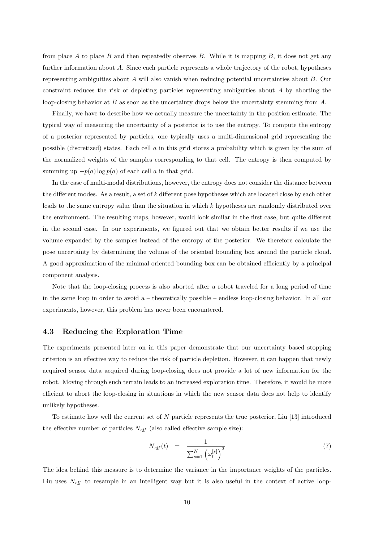from place A to place B and then repeatedly observes B. While it is mapping  $B$ , it does not get any further information about A. Since each particle represents a whole trajectory of the robot, hypotheses representing ambiguities about A will also vanish when reducing potential uncertainties about B. Our constraint reduces the risk of depleting particles representing ambiguities about  $A$  by aborting the loop-closing behavior at B as soon as the uncertainty drops below the uncertainty stemming from A.

Finally, we have to describe how we actually measure the uncertainty in the position estimate. The typical way of measuring the uncertainty of a posterior is to use the entropy. To compute the entropy of a posterior represented by particles, one typically uses a multi-dimensional grid representing the possible (discretized) states. Each cell a in this grid stores a probability which is given by the sum of the normalized weights of the samples corresponding to that cell. The entropy is then computed by summing up  $-p(a) \log p(a)$  of each cell a in that grid.

In the case of multi-modal distributions, however, the entropy does not consider the distance between the different modes. As a result, a set of k different pose hypotheses which are located close by each other leads to the same entropy value than the situation in which k hypotheses are randomly distributed over the environment. The resulting maps, however, would look similar in the first case, but quite different in the second case. In our experiments, we figured out that we obtain better results if we use the volume expanded by the samples instead of the entropy of the posterior. We therefore calculate the pose uncertainty by determining the volume of the oriented bounding box around the particle cloud. A good approximation of the minimal oriented bounding box can be obtained efficiently by a principal component analysis.

Note that the loop-closing process is also aborted after a robot traveled for a long period of time in the same loop in order to avoid a – theoretically possible – endless loop-closing behavior. In all our experiments, however, this problem has never been encountered.

#### 4.3 Reducing the Exploration Time

The experiments presented later on in this paper demonstrate that our uncertainty based stopping criterion is an effective way to reduce the risk of particle depletion. However, it can happen that newly acquired sensor data acquired during loop-closing does not provide a lot of new information for the robot. Moving through such terrain leads to an increased exploration time. Therefore, it would be more efficient to abort the loop-closing in situations in which the new sensor data does not help to identify unlikely hypotheses.

To estimate how well the current set of  $N$  particle represents the true posterior, Liu [13] introduced the effective number of particles  $N_{\text{eff}}$  (also called effective sample size):

$$
N_{\text{eff}}(t) = \frac{1}{\sum_{s=1}^{N} \left(\omega_t^{[s]}\right)^2} \tag{7}
$$

The idea behind this measure is to determine the variance in the importance weights of the particles. Liu uses  $N_{\text{eff}}$  to resample in an intelligent way but it is also useful in the context of active loop-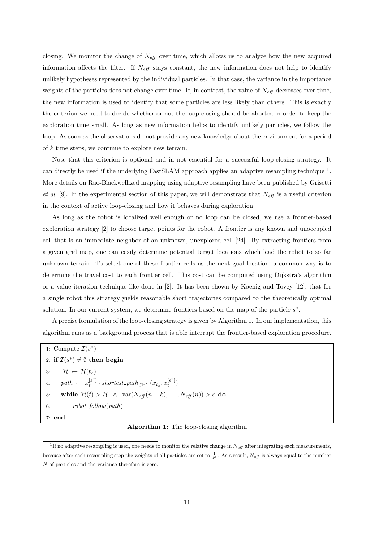closing. We monitor the change of  $N_{\text{eff}}$  over time, which allows us to analyze how the new acquired information affects the filter. If  $N_{\text{eff}}$  stays constant, the new information does not help to identify unlikely hypotheses represented by the individual particles. In that case, the variance in the importance weights of the particles does not change over time. If, in contrast, the value of  $N_{\text{eff}}$  decreases over time, the new information is used to identify that some particles are less likely than others. This is exactly the criterion we need to decide whether or not the loop-closing should be aborted in order to keep the exploration time small. As long as new information helps to identify unlikely particles, we follow the loop. As soon as the observations do not provide any new knowledge about the environment for a period of k time steps, we continue to explore new terrain.

Note that this criterion is optional and in not essential for a successful loop-closing strategy. It can directly be used if the underlying FastSLAM approach applies an adaptive resampling technique<sup>1</sup>. More details on Rao-Blackwellized mapping using adaptive resampling have been published by Grisetti et al. [9]. In the experimental section of this paper, we will demonstrate that  $N_{\text{eff}}$  is a useful criterion in the context of active loop-closing and how it behaves during exploration.

As long as the robot is localized well enough or no loop can be closed, we use a frontier-based exploration strategy [2] to choose target points for the robot. A frontier is any known and unoccupied cell that is an immediate neighbor of an unknown, unexplored cell [24]. By extracting frontiers from a given grid map, one can easily determine potential target locations which lead the robot to so far unknown terrain. To select one of these frontier cells as the next goal location, a common way is to determine the travel cost to each frontier cell. This cost can be computed using Dijkstra's algorithm or a value iteration technique like done in [2]. It has been shown by Koenig and Tovey [12], that for a single robot this strategy yields reasonable short trajectories compared to the theoretically optimal solution. In our current system, we determine frontiers based on the map of the particle  $s^*$ .

A precise formulation of the loop-closing strategy is given by Algorithm 1. In our implementation, this algorithm runs as a background process that is able interrupt the frontier-based exploration procedure.

1: Compute  $\mathcal{I}(s^*)$ 2: if  $\mathcal{I}(s^*) \neq \emptyset$  then begin 3:  $\mathcal{H} \leftarrow \mathcal{H}(t_e)$ 4:  $path \leftarrow x_t^{[s^*]} \cdot shortest\_path_{\mathcal{G}^{[s^*]}}(x_{t_e}, x_t^{[s^*]})$ 5: while  $\mathcal{H}(t) > \mathcal{H} \ \wedge \ \text{var}(N_{\text{eff}}(n-k), \ldots, N_{\text{eff}}(n)) > \epsilon$  do 6:  $robot_follow(path)$ 7: end

#### Algorithm 1: The loop-closing algorithm

<sup>&</sup>lt;sup>1</sup>If no adaptive resampling is used, one needs to monitor the relative change in  $N_{\text{eff}}$  after integrating each measurements, because after each resampling step the weights of all particles are set to  $\frac{1}{N}$ . As a result,  $N_{\text{eff}}$  is always equal to the number N of particles and the variance therefore is zero.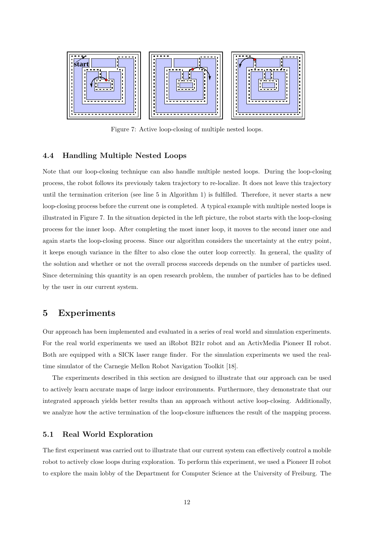

Figure 7: Active loop-closing of multiple nested loops.

### 4.4 Handling Multiple Nested Loops

Note that our loop-closing technique can also handle multiple nested loops. During the loop-closing process, the robot follows its previously taken trajectory to re-localize. It does not leave this trajectory until the termination criterion (see line 5 in Algorithm 1) is fulfilled. Therefore, it never starts a new loop-closing process before the current one is completed. A typical example with multiple nested loops is illustrated in Figure 7. In the situation depicted in the left picture, the robot starts with the loop-closing process for the inner loop. After completing the most inner loop, it moves to the second inner one and again starts the loop-closing process. Since our algorithm considers the uncertainty at the entry point, it keeps enough variance in the filter to also close the outer loop correctly. In general, the quality of the solution and whether or not the overall process succeeds depends on the number of particles used. Since determining this quantity is an open research problem, the number of particles has to be defined by the user in our current system.

# 5 Experiments

Our approach has been implemented and evaluated in a series of real world and simulation experiments. For the real world experiments we used an iRobot B21r robot and an ActivMedia Pioneer II robot. Both are equipped with a SICK laser range finder. For the simulation experiments we used the realtime simulator of the Carnegie Mellon Robot Navigation Toolkit [18].

The experiments described in this section are designed to illustrate that our approach can be used to actively learn accurate maps of large indoor environments. Furthermore, they demonstrate that our integrated approach yields better results than an approach without active loop-closing. Additionally, we analyze how the active termination of the loop-closure influences the result of the mapping process.

#### 5.1 Real World Exploration

The first experiment was carried out to illustrate that our current system can effectively control a mobile robot to actively close loops during exploration. To perform this experiment, we used a Pioneer II robot to explore the main lobby of the Department for Computer Science at the University of Freiburg. The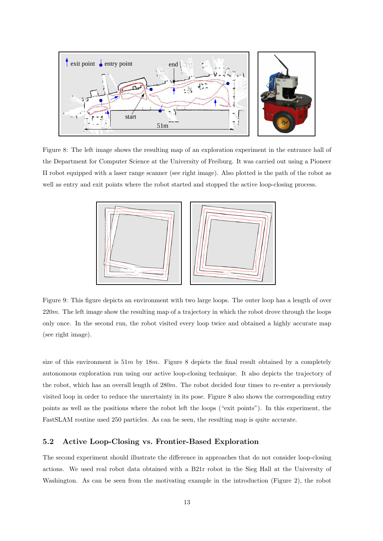

Figure 8: The left image shows the resulting map of an exploration experiment in the entrance hall of the Department for Computer Science at the University of Freiburg. It was carried out using a Pioneer II robot equipped with a laser range scanner (see right image). Also plotted is the path of the robot as well as entry and exit points where the robot started and stopped the active loop-closing process.



Figure 9: This figure depicts an environment with two large loops. The outer loop has a length of over 220m. The left image show the resulting map of a trajectory in which the robot drove through the loops only once. In the second run, the robot visited every loop twice and obtained a highly accurate map (see right image).

size of this environment is  $51m$  by  $18m$ . Figure 8 depicts the final result obtained by a completely autonomous exploration run using our active loop-closing technique. It also depicts the trajectory of the robot, which has an overall length of  $280m$ . The robot decided four times to re-enter a previously visited loop in order to reduce the uncertainty in its pose. Figure 8 also shows the corresponding entry points as well as the positions where the robot left the loops ("exit points"). In this experiment, the FastSLAM routine used 250 particles. As can be seen, the resulting map is quite accurate.

### 5.2 Active Loop-Closing vs. Frontier-Based Exploration

The second experiment should illustrate the difference in approaches that do not consider loop-closing actions. We used real robot data obtained with a B21r robot in the Sieg Hall at the University of Washington. As can be seen from the motivating example in the introduction (Figure 2), the robot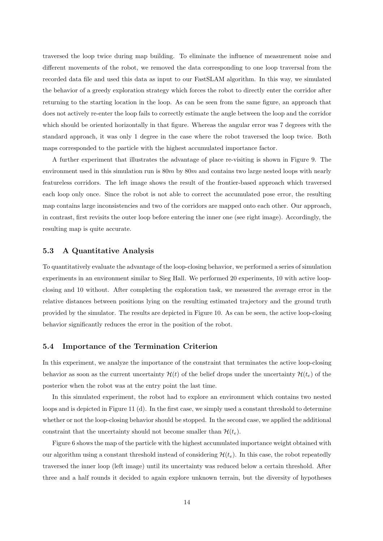traversed the loop twice during map building. To eliminate the influence of measurement noise and different movements of the robot, we removed the data corresponding to one loop traversal from the recorded data file and used this data as input to our FastSLAM algorithm. In this way, we simulated the behavior of a greedy exploration strategy which forces the robot to directly enter the corridor after returning to the starting location in the loop. As can be seen from the same figure, an approach that does not actively re-enter the loop fails to correctly estimate the angle between the loop and the corridor which should be oriented horizontally in that figure. Whereas the angular error was 7 degrees with the standard approach, it was only 1 degree in the case where the robot traversed the loop twice. Both maps corresponded to the particle with the highest accumulated importance factor.

A further experiment that illustrates the advantage of place re-visiting is shown in Figure 9. The environment used in this simulation run is  $80m$  by  $80m$  and contains two large nested loops with nearly featureless corridors. The left image shows the result of the frontier-based approach which traversed each loop only once. Since the robot is not able to correct the accumulated pose error, the resulting map contains large inconsistencies and two of the corridors are mapped onto each other. Our approach, in contrast, first revisits the outer loop before entering the inner one (see right image). Accordingly, the resulting map is quite accurate.

### 5.3 A Quantitative Analysis

To quantitatively evaluate the advantage of the loop-closing behavior, we performed a series of simulation experiments in an environment similar to Sieg Hall. We performed 20 experiments, 10 with active loopclosing and 10 without. After completing the exploration task, we measured the average error in the relative distances between positions lying on the resulting estimated trajectory and the ground truth provided by the simulator. The results are depicted in Figure 10. As can be seen, the active loop-closing behavior significantly reduces the error in the position of the robot.

#### 5.4 Importance of the Termination Criterion

In this experiment, we analyze the importance of the constraint that terminates the active loop-closing behavior as soon as the current uncertainty  $\mathcal{H}(t)$  of the belief drops under the uncertainty  $\mathcal{H}(t_e)$  of the posterior when the robot was at the entry point the last time.

In this simulated experiment, the robot had to explore an environment which contains two nested loops and is depicted in Figure 11 (d). In the first case, we simply used a constant threshold to determine whether or not the loop-closing behavior should be stopped. In the second case, we applied the additional constraint that the uncertainty should not become smaller than  $\mathcal{H}(t_e)$ .

Figure 6 shows the map of the particle with the highest accumulated importance weight obtained with our algorithm using a constant threshold instead of considering  $\mathcal{H}(t_e)$ . In this case, the robot repeatedly traversed the inner loop (left image) until its uncertainty was reduced below a certain threshold. After three and a half rounds it decided to again explore unknown terrain, but the diversity of hypotheses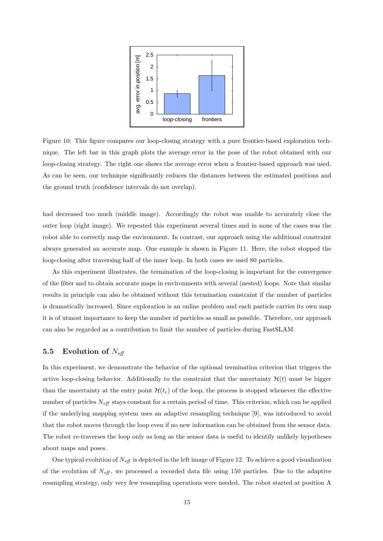

Figure 10: This figure compares our loop-closing strategy with a pure frontier-based exploration technique. The left bar in this graph plots the average error in the pose of the robot obtained with our loop-closing strategy. The right one shows the average error when a frontier-based approach was used. As can be seen, our technique significantly reduces the distances between the estimated positions and the ground truth (confidence intervals do not overlap).

had decreased too much (middle image). Accordingly the robot was unable to accurately close the outer loop (right image). We repeated this experiment several times and in none of the cases was the robot able to correctly map the environment. In contrast, our approach using the additional constraint always generated an accurate map. One example is shown in Figure 11. Here, the robot stopped the loop-closing after traversing half of the inner loop. In both cases we used 80 particles.

As this experiment illustrates, the termination of the loop-closing is important for the convergence of the filter and to obtain accurate maps in environments with several (nested) loops. Note that similar results in principle can also be obtained without this termination constraint if the number of particles is dramatically increased. Since exploration is an online problem and each particle carries its own map it is of utmost importance to keep the number of particles as small as possible. Therefore, our approach can also be regarded as a contribution to limit the number of particles during FastSLAM.

### 5.5 Evolution of  $N_{\text{eff}}$

In this experiment, we demonstrate the behavior of the optional termination criterion that triggers the active loop-closing behavior. Additionally to the constraint that the uncertainty  $\mathcal{H}(t)$  must be bigger than the uncertainty at the entry point  $\mathcal{H}(t_e)$  of the loop, the process is stopped whenever the effective number of particles  $N_{\text{eff}}$  stays constant for a certain period of time. This criterion, which can be applied if the underlying mapping system uses an adaptive resampling technique [9], was introduced to avoid that the robot moves through the loop even if no new information can be obtained from the sensor data. The robot re-traverses the loop only as long as the sensor data is useful to identify unlikely hypotheses about maps and poses.

One typical evolution of  $N_{\text{eff}}$  is depicted in the left image of Figure 12. To achieve a good visualization of the evolution of  $N_{\text{eff}}$ , we processed a recorded data file using 150 particles. Due to the adaptive resampling strategy, only very few resampling operations were needed. The robot started at position A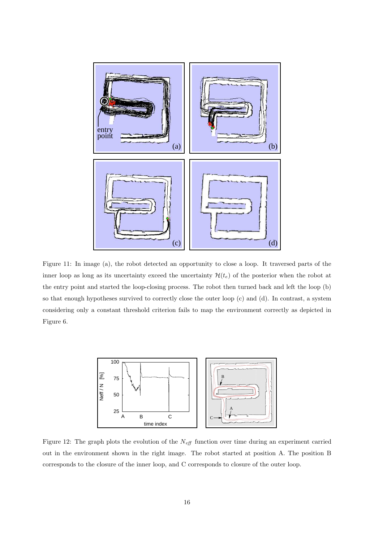

Figure 11: In image (a), the robot detected an opportunity to close a loop. It traversed parts of the inner loop as long as its uncertainty exceed the uncertainty  $\mathcal{H}(t_e)$  of the posterior when the robot at the entry point and started the loop-closing process. The robot then turned back and left the loop (b) so that enough hypotheses survived to correctly close the outer loop (c) and (d). In contrast, a system considering only a constant threshold criterion fails to map the environment correctly as depicted in Figure 6.



Figure 12: The graph plots the evolution of the  $N_{\text{eff}}$  function over time during an experiment carried out in the environment shown in the right image. The robot started at position A. The position B corresponds to the closure of the inner loop, and C corresponds to closure of the outer loop.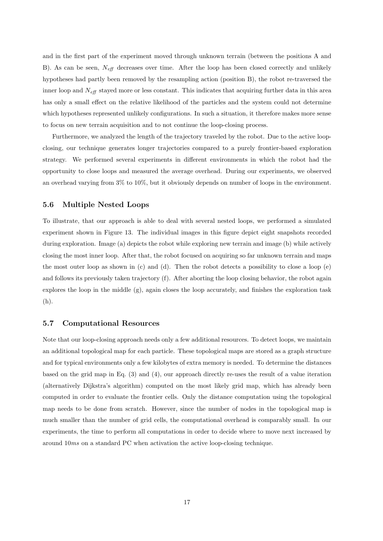and in the first part of the experiment moved through unknown terrain (between the positions A and B). As can be seen,  $N_{\text{eff}}$  decreases over time. After the loop has been closed correctly and unlikely hypotheses had partly been removed by the resampling action (position B), the robot re-traversed the inner loop and  $N_{\text{eff}}$  stayed more or less constant. This indicates that acquiring further data in this area has only a small effect on the relative likelihood of the particles and the system could not determine which hypotheses represented unlikely configurations. In such a situation, it therefore makes more sense to focus on new terrain acquisition and to not continue the loop-closing process.

Furthermore, we analyzed the length of the trajectory traveled by the robot. Due to the active loopclosing, our technique generates longer trajectories compared to a purely frontier-based exploration strategy. We performed several experiments in different environments in which the robot had the opportunity to close loops and measured the average overhead. During our experiments, we observed an overhead varying from 3% to 10%, but it obviously depends on number of loops in the environment.

#### 5.6 Multiple Nested Loops

To illustrate, that our approach is able to deal with several nested loops, we performed a simulated experiment shown in Figure 13. The individual images in this figure depict eight snapshots recorded during exploration. Image (a) depicts the robot while exploring new terrain and image (b) while actively closing the most inner loop. After that, the robot focused on acquiring so far unknown terrain and maps the most outer loop as shown in (c) and (d). Then the robot detects a possibility to close a loop (e) and follows its previously taken trajectory (f). After aborting the loop closing behavior, the robot again explores the loop in the middle (g), again closes the loop accurately, and finishes the exploration task (h).

#### 5.7 Computational Resources

Note that our loop-closing approach needs only a few additional resources. To detect loops, we maintain an additional topological map for each particle. These topological maps are stored as a graph structure and for typical environments only a few kilobytes of extra memory is needed. To determine the distances based on the grid map in Eq. (3) and (4), our approach directly re-uses the result of a value iteration (alternatively Dijkstra's algorithm) computed on the most likely grid map, which has already been computed in order to evaluate the frontier cells. Only the distance computation using the topological map needs to be done from scratch. However, since the number of nodes in the topological map is much smaller than the number of grid cells, the computational overhead is comparably small. In our experiments, the time to perform all computations in order to decide where to move next increased by around 10ms on a standard PC when activation the active loop-closing technique.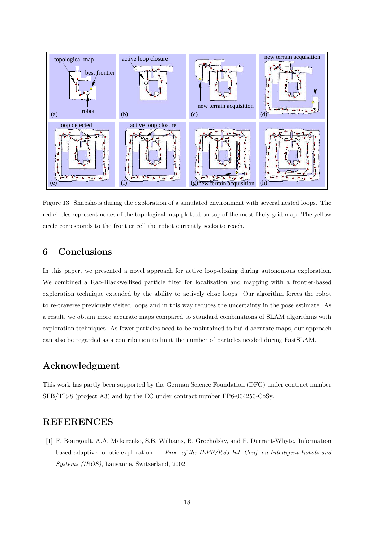

Figure 13: Snapshots during the exploration of a simulated environment with several nested loops. The red circles represent nodes of the topological map plotted on top of the most likely grid map. The yellow circle corresponds to the frontier cell the robot currently seeks to reach.

# 6 Conclusions

In this paper, we presented a novel approach for active loop-closing during autonomous exploration. We combined a Rao-Blackwellized particle filter for localization and mapping with a frontier-based exploration technique extended by the ability to actively close loops. Our algorithm forces the robot to re-traverse previously visited loops and in this way reduces the uncertainty in the pose estimate. As a result, we obtain more accurate maps compared to standard combinations of SLAM algorithms with exploration techniques. As fewer particles need to be maintained to build accurate maps, our approach can also be regarded as a contribution to limit the number of particles needed during FastSLAM.

# Acknowledgment

This work has partly been supported by the German Science Foundation (DFG) under contract number SFB/TR-8 (project A3) and by the EC under contract number FP6-004250-CoSy.

# REFERENCES

[1] F. Bourgoult, A.A. Makarenko, S.B. Williams, B. Grocholsky, and F. Durrant-Whyte. Information based adaptive robotic exploration. In Proc. of the IEEE/RSJ Int. Conf. on Intelligent Robots and Systems (IROS), Lausanne, Switzerland, 2002.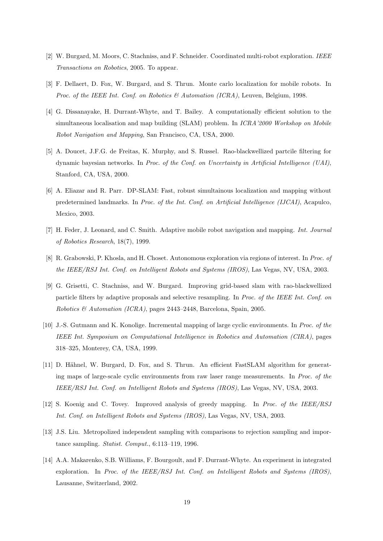- [2] W. Burgard, M. Moors, C. Stachniss, and F. Schneider. Coordinated multi-robot exploration. IEEE Transactions on Robotics, 2005. To appear.
- [3] F. Dellaert, D. Fox, W. Burgard, and S. Thrun. Monte carlo localization for mobile robots. In Proc. of the IEEE Int. Conf. on Robotics  $\mathcal{B}$  Automation (ICRA), Leuven, Belgium, 1998.
- [4] G. Dissanayake, H. Durrant-Whyte, and T. Bailey. A computationally efficient solution to the simultaneous localisation and map building (SLAM) problem. In *ICRA'2000 Workshop on Mobile* Robot Navigation and Mapping, San Francisco, CA, USA, 2000.
- [5] A. Doucet, J.F.G. de Freitas, K. Murphy, and S. Russel. Rao-blackwellized partcile filtering for dynamic bayesian networks. In Proc. of the Conf. on Uncertainty in Artificial Intelligence (UAI), Stanford, CA, USA, 2000.
- [6] A. Eliazar and R. Parr. DP-SLAM: Fast, robust simultainous localization and mapping without predetermined landmarks. In Proc. of the Int. Conf. on Artificial Intelligence (IJCAI), Acapulco, Mexico, 2003.
- [7] H. Feder, J. Leonard, and C. Smith. Adaptive mobile robot navigation and mapping. Int. Journal of Robotics Research, 18(7), 1999.
- [8] R. Grabowski, P. Khosla, and H. Choset. Autonomous exploration via regions of interest. In Proc. of the IEEE/RSJ Int. Conf. on Intelligent Robots and Systems (IROS), Las Vegas, NV, USA, 2003.
- [9] G. Grisetti, C. Stachniss, and W. Burgard. Improving grid-based slam with rao-blackwellized particle filters by adaptive proposals and selective resampling. In Proc. of the IEEE Int. Conf. on Robotics & Automation (ICRA), pages 2443–2448, Barcelona, Spain, 2005.
- [10] J.-S. Gutmann and K. Konolige. Incremental mapping of large cyclic environments. In Proc. of the IEEE Int. Symposium on Computational Intelligence in Robotics and Automation (CIRA), pages 318–325, Monterey, CA, USA, 1999.
- [11] D. Hähnel, W. Burgard, D. Fox, and S. Thrun. An efficient FastSLAM algorithm for generating maps of large-scale cyclic environments from raw laser range measurements. In Proc. of the IEEE/RSJ Int. Conf. on Intelligent Robots and Systems (IROS), Las Vegas, NV, USA, 2003.
- [12] S. Koenig and C. Tovey. Improved analysis of greedy mapping. In Proc. of the IEEE/RSJ Int. Conf. on Intelligent Robots and Systems (IROS), Las Vegas, NV, USA, 2003.
- [13] J.S. Liu. Metropolized independent sampling with comparisons to rejection sampling and importance sampling. Statist. Comput., 6:113–119, 1996.
- [14] A.A. Makarenko, S.B. Williams, F. Bourgoult, and F. Durrant-Whyte. An experiment in integrated exploration. In Proc. of the IEEE/RSJ Int. Conf. on Intelligent Robots and Systems (IROS), Lausanne, Switzerland, 2002.